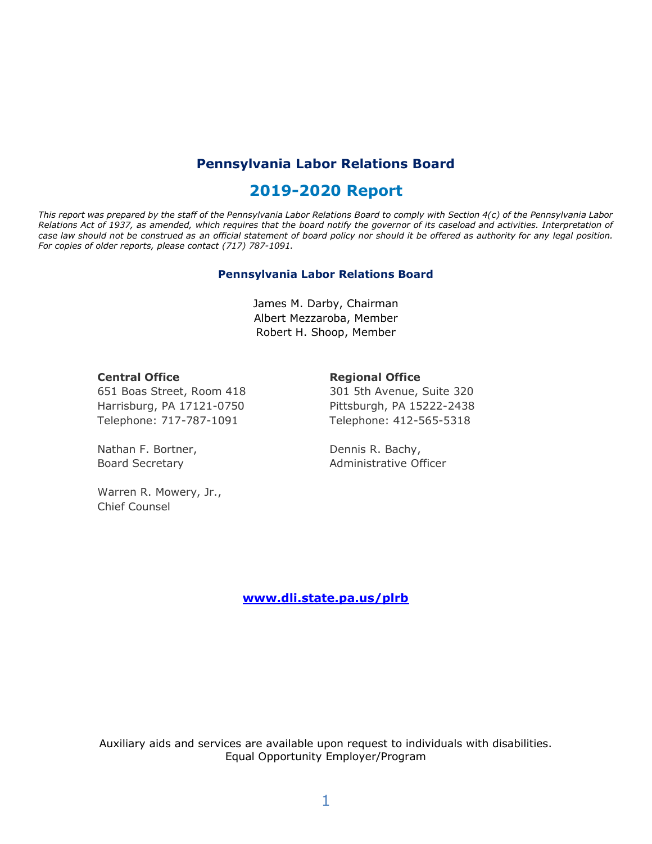## **Pennsylvania Labor Relations Board**

## **2019-2020 Report**

*This report was prepared by the staff of the Pennsylvania Labor Relations Board to comply with Section 4(c) of the Pennsylvania Labor Relations Act of 1937, as amended, which requires that the board notify the governor of its caseload and activities. Interpretation of case law should not be construed as an official statement of board policy nor should it be offered as authority for any legal position. For copies of older reports, please contact (717) 787-1091.*

#### **Pennsylvania Labor Relations Board**

James M. Darby, Chairman Albert Mezzaroba, Member Robert H. Shoop, Member

#### **Central Office**

#### **Regional Office**

651 Boas Street, Room 418 Harrisburg, PA 17121-0750 Telephone: 717-787-1091

Nathan F. Bortner, Board Secretary

Warren R. Mowery, Jr., Chief Counsel

301 5th Avenue, Suite 320 Pittsburgh, PA 15222-2438 Telephone: 412-565-5318

Dennis R. Bachy, Administrative Officer

**[www.dli.state.pa.us/plrb](http://www.dli.state.pa.us/plrb)**

Auxiliary aids and services are available upon request to individuals with disabilities. Equal Opportunity Employer/Program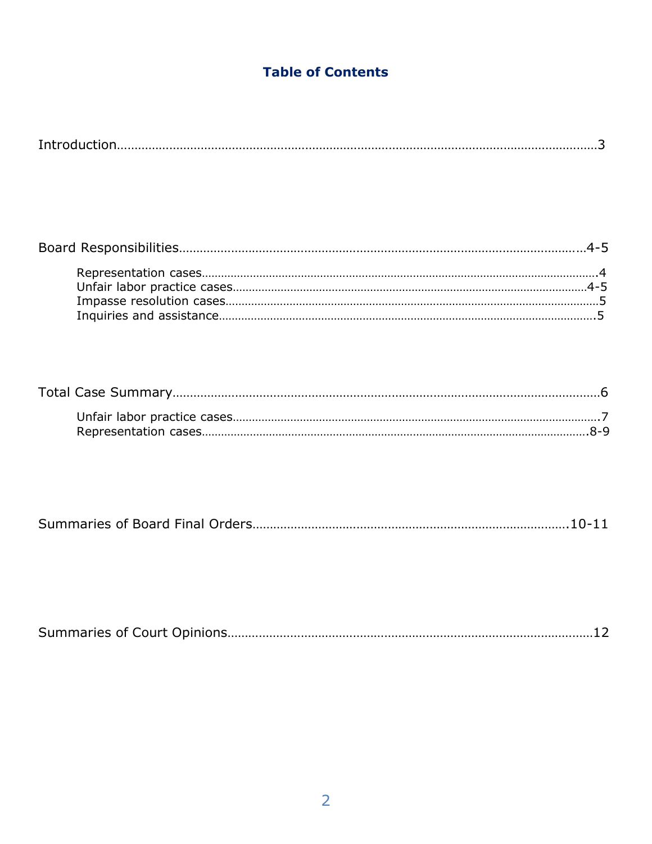# **Table of Contents**

| ك ۱۳۰۰ - ۱۳۰۰ - ۱۳۰۰ - ۱۳۰۰ - ۱۳۰۰ - ۱۳۰۰ - ۱۳۰۰ - ۱۳۰۰ - ۱۳۰۰ - ۱۳۰۰ - ۱۳۰۰ - ۱۳۰۰ - ۱۳۰۰ - ۱۳۰۰ - ۱۳۰۰ - ۱۳ |
|---------------------------------------------------------------------------------------------------------------|
|---------------------------------------------------------------------------------------------------------------|

|--|

|--|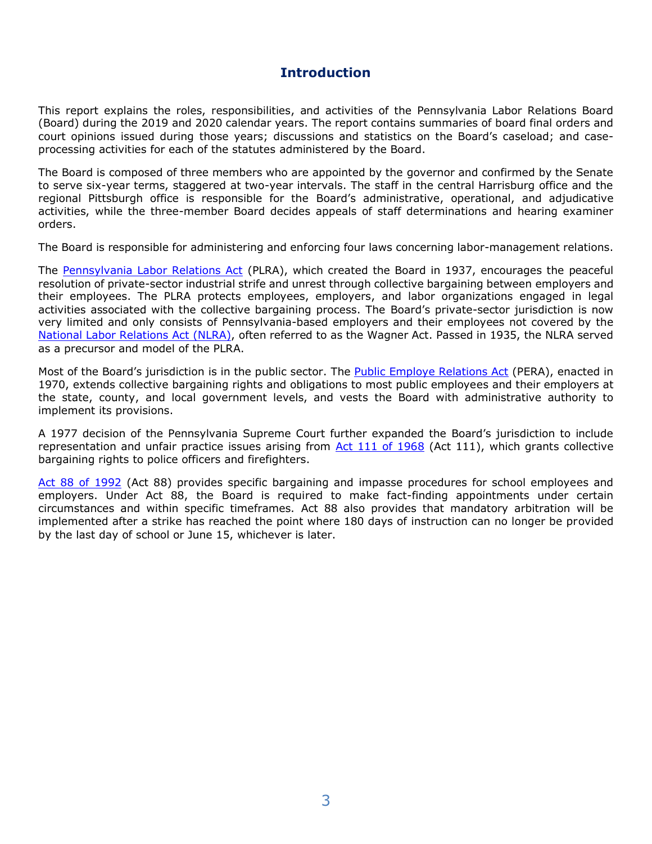## **Introduction**

This report explains the roles, responsibilities, and activities of the Pennsylvania Labor Relations Board (Board) during the 2019 and 2020 calendar years. The report contains summaries of board final orders and court opinions issued during those years; discussions and statistics on the Board's caseload; and caseprocessing activities for each of the statutes administered by the Board.

The Board is composed of three members who are appointed by the governor and confirmed by the Senate to serve six-year terms, staggered at two-year intervals. The staff in the central Harrisburg office and the regional Pittsburgh office is responsible for the Board's administrative, operational, and adjudicative activities, while the three-member Board decides appeals of staff determinations and hearing examiner orders.

The Board is responsible for administering and enforcing four laws concerning labor-management relations.

The [Pennsylvania Labor Relations Act](http://www.portal.state.pa.us/portal/server.pt?open=514&objID=552984&mode=2) (PLRA), which created the Board in 1937, encourages the peaceful resolution of private-sector industrial strife and unrest through collective bargaining between employers and their employees. The PLRA protects employees, employers, and labor organizations engaged in legal activities associated with the collective bargaining process. The Board's private-sector jurisdiction is now very limited and only consists of Pennsylvania-based employers and their employees not covered by the [National Labor Relations Act](http://nlrb.gov/national-labor-relations-act) (NLRA), often referred to as the Wagner Act. Passed in 1935, the NLRA served as a precursor and model of the PLRA.

Most of the Board's jurisdiction is in the public sector. The [Public Employe Relations Act](http://www.portal.state.pa.us/portal/server.pt?open=514&objID=552991&mode=2) (PERA), enacted in 1970, extends collective bargaining rights and obligations to most public employees and their employers at the state, county, and local government levels, and vests the Board with administrative authority to implement its provisions.

A 1977 decision of the Pennsylvania Supreme Court further expanded the Board's jurisdiction to include representation and unfair practice issues arising from [Act 111 of 1968](http://www.portal.state.pa.us/portal/server.pt?open=514&objID=552988&mode=2) (Act 111), which grants collective bargaining rights to police officers and firefighters.

[Act 88 of 1992](http://www.portal.state.pa.us/portal/server.pt?open=514&objID=552940&mode=2) (Act 88) provides specific bargaining and impasse procedures for school employees and employers. Under Act 88, the Board is required to make fact-finding appointments under certain circumstances and within specific timeframes. Act 88 also provides that mandatory arbitration will be implemented after a strike has reached the point where 180 days of instruction can no longer be provided by the last day of school or June 15, whichever is later.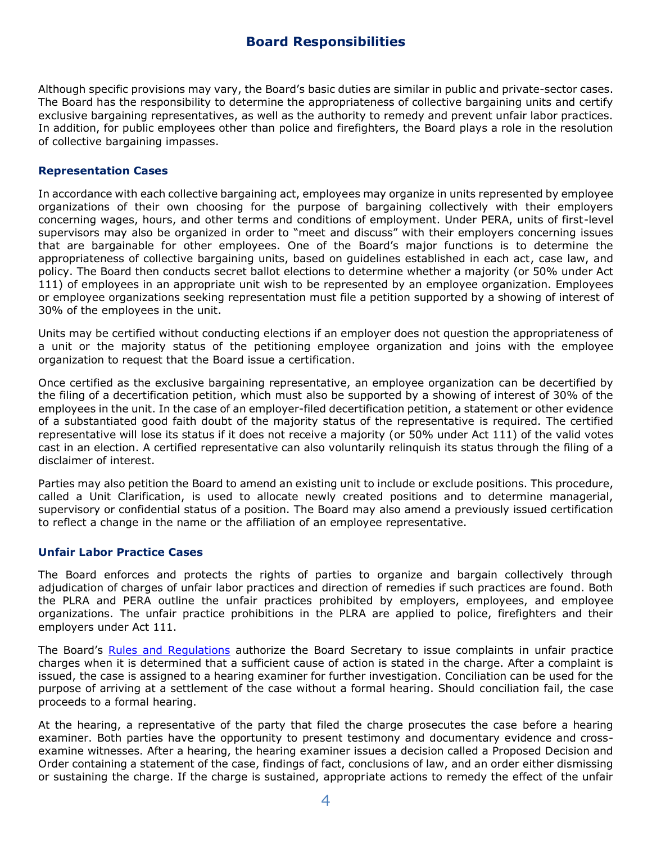### **Board Responsibilities**

Although specific provisions may vary, the Board's basic duties are similar in public and private-sector cases. The Board has the responsibility to determine the appropriateness of collective bargaining units and certify exclusive bargaining representatives, as well as the authority to remedy and prevent unfair labor practices. In addition, for public employees other than police and firefighters, the Board plays a role in the resolution of collective bargaining impasses.

#### **Representation Cases**

In accordance with each collective bargaining act, employees may organize in units represented by employee organizations of their own choosing for the purpose of bargaining collectively with their employers concerning wages, hours, and other terms and conditions of employment. Under PERA, units of first-level supervisors may also be organized in order to "meet and discuss" with their employers concerning issues that are bargainable for other employees. One of the Board's major functions is to determine the appropriateness of collective bargaining units, based on guidelines established in each act, case law, and policy. The Board then conducts secret ballot elections to determine whether a majority (or 50% under Act 111) of employees in an appropriate unit wish to be represented by an employee organization. Employees or employee organizations seeking representation must file a petition supported by a showing of interest of 30% of the employees in the unit.

Units may be certified without conducting elections if an employer does not question the appropriateness of a unit or the majority status of the petitioning employee organization and joins with the employee organization to request that the Board issue a certification.

Once certified as the exclusive bargaining representative, an employee organization can be decertified by the filing of a decertification petition, which must also be supported by a showing of interest of 30% of the employees in the unit. In the case of an employer-filed decertification petition, a statement or other evidence of a substantiated good faith doubt of the majority status of the representative is required. The certified representative will lose its status if it does not receive a majority (or 50% under Act 111) of the valid votes cast in an election. A certified representative can also voluntarily relinquish its status through the filing of a disclaimer of interest.

Parties may also petition the Board to amend an existing unit to include or exclude positions. This procedure, called a Unit Clarification, is used to allocate newly created positions and to determine managerial, supervisory or confidential status of a position. The Board may also amend a previously issued certification to reflect a change in the name or the affiliation of an employee representative.

#### **Unfair Labor Practice Cases**

The Board enforces and protects the rights of parties to organize and bargain collectively through adjudication of charges of unfair labor practices and direction of remedies if such practices are found. Both the PLRA and PERA outline the unfair practices prohibited by employers, employees, and employee organizations. The unfair practice prohibitions in the PLRA are applied to police, firefighters and their employers under Act 111.

The Board's [Rules and Regulations](http://www.portal.state.pa.us/portal/server.pt?open=514&objID=552985&mode=2) authorize the Board Secretary to issue complaints in unfair practice charges when it is determined that a sufficient cause of action is stated in the charge. After a complaint is issued, the case is assigned to a hearing examiner for further investigation. Conciliation can be used for the purpose of arriving at a settlement of the case without a formal hearing. Should conciliation fail, the case proceeds to a formal hearing.

At the hearing, a representative of the party that filed the charge prosecutes the case before a hearing examiner. Both parties have the opportunity to present testimony and documentary evidence and crossexamine witnesses. After a hearing, the hearing examiner issues a decision called a Proposed Decision and Order containing a statement of the case, findings of fact, conclusions of law, and an order either dismissing or sustaining the charge. If the charge is sustained, appropriate actions to remedy the effect of the unfair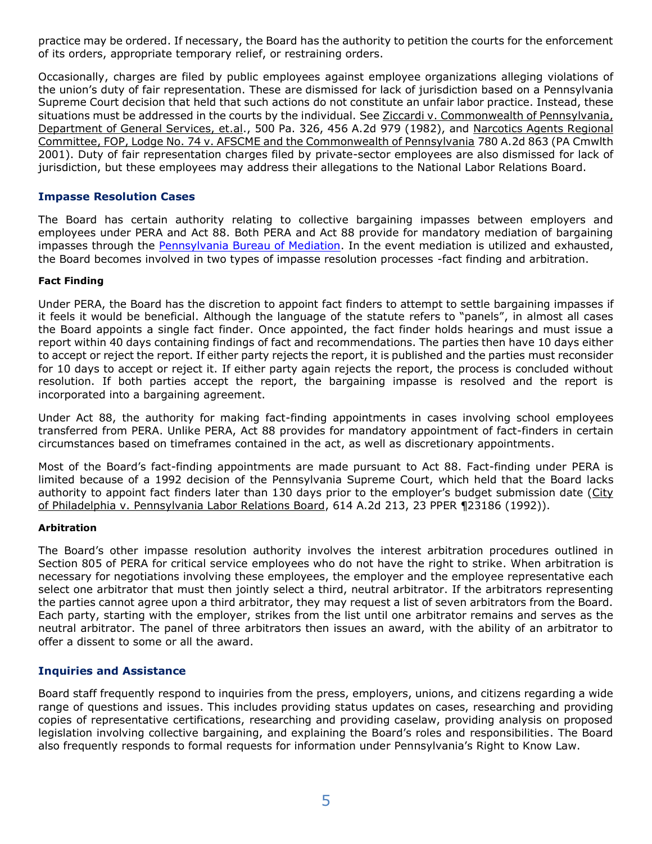practice may be ordered. If necessary, the Board has the authority to petition the courts for the enforcement of its orders, appropriate temporary relief, or restraining orders.

Occasionally, charges are filed by public employees against employee organizations alleging violations of the union's duty of fair representation. These are dismissed for lack of jurisdiction based on a Pennsylvania Supreme Court decision that held that such actions do not constitute an unfair labor practice. Instead, these situations must be addressed in the courts by the individual. See Ziccardi v. Commonwealth of Pennsylvania, Department of General Services, et.al., 500 Pa. 326, 456 A.2d 979 (1982), and Narcotics Agents Regional Committee, FOP, Lodge No. 74 v. AFSCME and the Commonwealth of Pennsylvania 780 A.2d 863 (PA Cmwlth 2001). Duty of fair representation charges filed by private-sector employees are also dismissed for lack of jurisdiction, but these employees may address their allegations to the National Labor Relations Board.

### **Impasse Resolution Cases**

The Board has certain authority relating to collective bargaining impasses between employers and employees under PERA and Act 88. Both PERA and Act 88 provide for mandatory mediation of bargaining impasses through the [Pennsylvania Bureau of Mediation.](http://www.dli.state.pa.us/portal/server.pt/community/mediation_services/10522) In the event mediation is utilized and exhausted, the Board becomes involved in two types of impasse resolution processes -fact finding and arbitration.

#### **Fact Finding**

Under PERA, the Board has the discretion to appoint fact finders to attempt to settle bargaining impasses if it feels it would be beneficial. Although the language of the statute refers to "panels", in almost all cases the Board appoints a single fact finder. Once appointed, the fact finder holds hearings and must issue a report within 40 days containing findings of fact and recommendations. The parties then have 10 days either to accept or reject the report. If either party rejects the report, it is published and the parties must reconsider for 10 days to accept or reject it. If either party again rejects the report, the process is concluded without resolution. If both parties accept the report, the bargaining impasse is resolved and the report is incorporated into a bargaining agreement.

Under Act 88, the authority for making fact-finding appointments in cases involving school employees transferred from PERA. Unlike PERA, Act 88 provides for mandatory appointment of fact-finders in certain circumstances based on timeframes contained in the act, as well as discretionary appointments.

Most of the Board's fact-finding appointments are made pursuant to Act 88. Fact-finding under PERA is limited because of a 1992 decision of the Pennsylvania Supreme Court, which held that the Board lacks authority to appoint fact finders later than 130 days prior to the employer's budget submission date (City of Philadelphia v. Pennsylvania Labor Relations Board, 614 A.2d 213, 23 PPER ¶23186 (1992)).

#### **Arbitration**

The Board's other impasse resolution authority involves the interest arbitration procedures outlined in Section 805 of PERA for critical service employees who do not have the right to strike. When arbitration is necessary for negotiations involving these employees, the employer and the employee representative each select one arbitrator that must then jointly select a third, neutral arbitrator. If the arbitrators representing the parties cannot agree upon a third arbitrator, they may request a list of seven arbitrators from the Board. Each party, starting with the employer, strikes from the list until one arbitrator remains and serves as the neutral arbitrator. The panel of three arbitrators then issues an award, with the ability of an arbitrator to offer a dissent to some or all the award.

### **Inquiries and Assistance**

Board staff frequently respond to inquiries from the press, employers, unions, and citizens regarding a wide range of questions and issues. This includes providing status updates on cases, researching and providing copies of representative certifications, researching and providing caselaw, providing analysis on proposed legislation involving collective bargaining, and explaining the Board's roles and responsibilities. The Board also frequently responds to formal requests for information under Pennsylvania's Right to Know Law.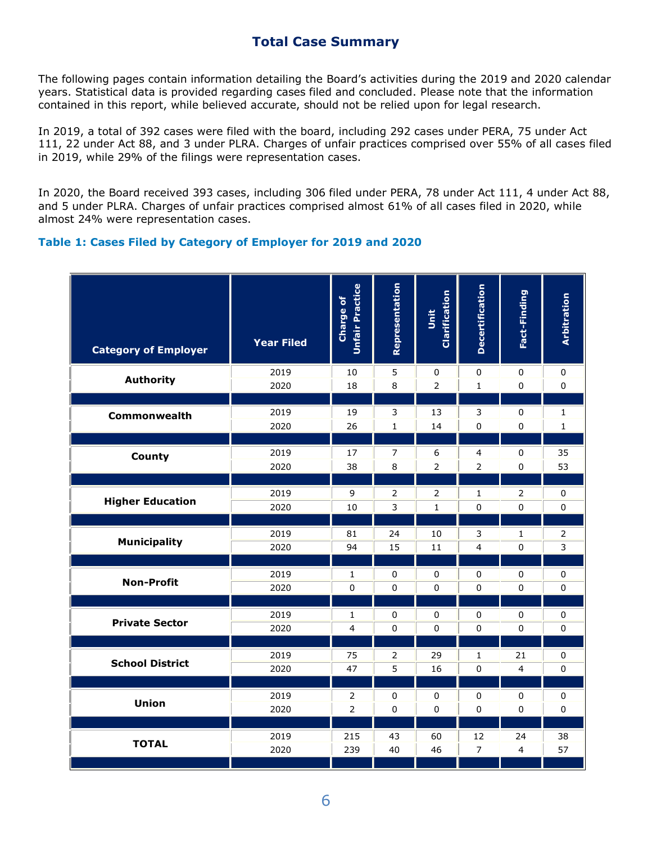### **Total Case Summary**

The following pages contain information detailing the Board's activities during the 2019 and 2020 calendar years. Statistical data is provided regarding cases filed and concluded. Please note that the information contained in this report, while believed accurate, should not be relied upon for legal research.

In 2019, a total of 392 cases were filed with the board, including 292 cases under PERA, 75 under Act 111, 22 under Act 88, and 3 under PLRA. Charges of unfair practices comprised over 55% of all cases filed in 2019, while 29% of the filings were representation cases.

In 2020, the Board received 393 cases, including 306 filed under PERA, 78 under Act 111, 4 under Act 88, and 5 under PLRA. Charges of unfair practices comprised almost 61% of all cases filed in 2020, while almost 24% were representation cases.

### **Table 1: Cases Filed by Category of Employer for 2019 and 2020**

| <b>Category of Employer</b> | <b>Year Filed</b> | <b>Unfair Practice</b><br>Charge of | Representation | Clarification<br>jš | <b>Decertification</b>  | Fact-Finding   | Arbitration  |
|-----------------------------|-------------------|-------------------------------------|----------------|---------------------|-------------------------|----------------|--------------|
| <b>Authority</b>            | 2019              | 10                                  | 5              | 0                   | 0                       | 0              | $\pmb{0}$    |
|                             | 2020              | 18                                  | 8              | $\overline{2}$      | $\mathbf 1$             | $\pmb{0}$      | $\mathbf 0$  |
| Commonwealth                | 2019              | 19                                  | 3              | 13                  | 3                       | 0              | 1            |
|                             | 2020              | 26                                  | $\mathbf{1}$   | 14                  | $\pmb{0}$               | $\Omega$       | $\mathbf{1}$ |
| County                      | 2019              | 17                                  | $\overline{7}$ | 6                   | $\overline{\mathbf{4}}$ | $\pmb{0}$      | 35           |
|                             | 2020              | 38                                  | 8              | $\overline{2}$      | $\overline{2}$          | $\mathbf 0$    | 53           |
| <b>Higher Education</b>     | 2019              | 9                                   | $\overline{2}$ | $\overline{2}$      | $\mathbf 1$             | $\overline{2}$ | $\pmb{0}$    |
|                             | 2020              | 10                                  | $\overline{3}$ | $\mathbf{1}$        | $\pmb{0}$               | $\pmb{0}$      | $\mathsf 0$  |
| <b>Municipality</b>         | 2019              | 81                                  | 24             | 10                  | 3                       | 1              | 2            |
|                             | 2020              | 94                                  | 15             | 11                  | $\overline{4}$          | $\mathbf 0$    | 3            |
| <b>Non-Profit</b>           | 2019              | 1                                   | $\pmb{0}$      | 0                   | 0                       | 0              | 0            |
|                             | 2020              | $\mathbf 0$                         | $\mathbf 0$    | 0                   | 0                       | 0              | 0            |
| <b>Private Sector</b>       | 2019              | $\mathbf{1}$                        | $\mathbf 0$    | 0                   | 0                       | 0              | $\pmb{0}$    |
|                             | 2020              | $\overline{4}$                      | $\mathbf 0$    | 0                   | 0                       | 0              | 0            |
| <b>School District</b>      | 2019              | 75                                  | $\overline{2}$ | 29                  | $\mathbf{1}$            | 21             | 0            |
|                             | 2020              | 47                                  | 5              | 16                  | $\mathbf 0$             | $\overline{4}$ | $\mathsf 0$  |
| <b>Union</b>                | 2019              | $\overline{2}$                      | $\pmb{0}$      | 0                   | 0                       | $\pmb{0}$      | 0            |
|                             | 2020              | $\overline{2}$                      | 0              | 0                   | $\pmb{0}$               | $\pmb{0}$      | $\pmb{0}$    |
| <b>TOTAL</b>                | 2019              | 215                                 | 43             | 60                  | 12                      | 24             | 38           |
|                             | 2020              | 239                                 | 40             | 46                  | $\overline{7}$          | $\overline{4}$ | 57           |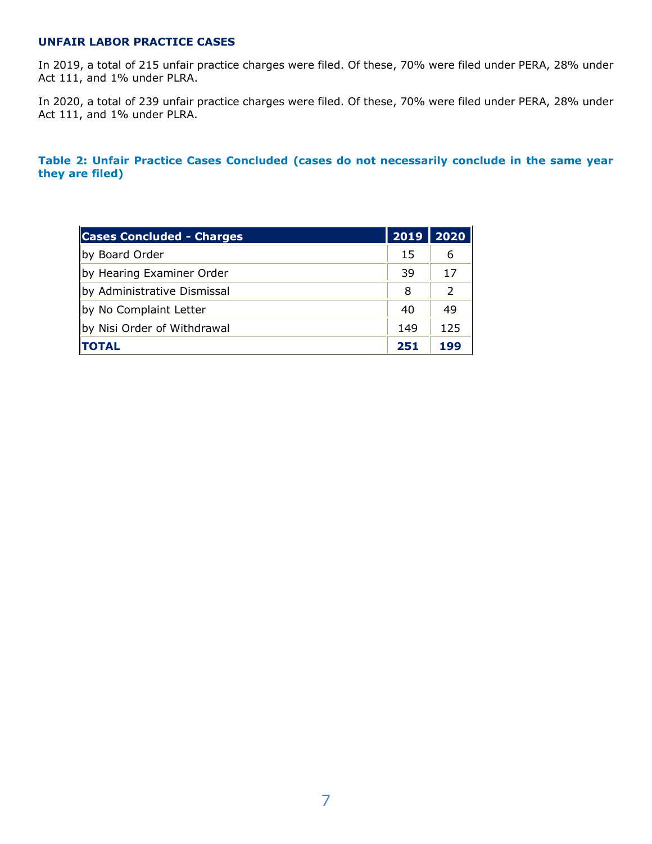### **UNFAIR LABOR PRACTICE CASES**

In 2019, a total of 215 unfair practice charges were filed. Of these, 70% were filed under PERA, 28% under Act 111, and 1% under PLRA.

In 2020, a total of 239 unfair practice charges were filed. Of these, 70% were filed under PERA, 28% under Act 111, and 1% under PLRA.

**Table 2: Unfair Practice Cases Concluded (cases do not necessarily conclude in the same year they are filed)**

| <b>Cases Concluded - Charges</b> | 2019 | 2020          |
|----------------------------------|------|---------------|
| by Board Order                   | 15   | 6             |
| by Hearing Examiner Order        | 39   | 17            |
| by Administrative Dismissal      | 8    | $\mathcal{P}$ |
| by No Complaint Letter           | 40   | 49            |
| by Nisi Order of Withdrawal      | 149  | 125           |
| <b>TOTAL</b>                     | 251  | 199           |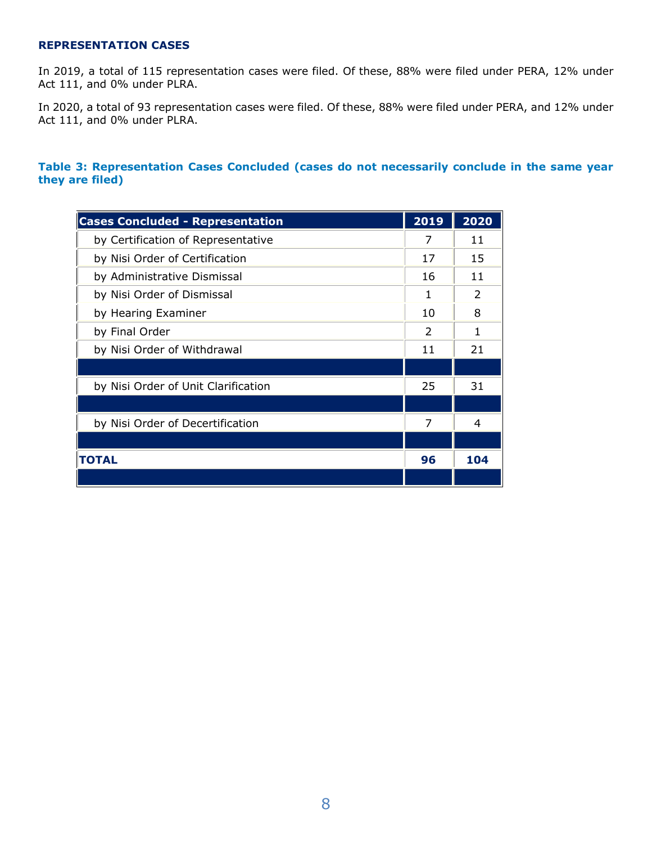#### **REPRESENTATION CASES**

In 2019, a total of 115 representation cases were filed. Of these, 88% were filed under PERA, 12% under Act 111, and 0% under PLRA.

In 2020, a total of 93 representation cases were filed. Of these, 88% were filed under PERA, and 12% under Act 111, and 0% under PLRA.

### **Table 3: Representation Cases Concluded (cases do not necessarily conclude in the same year they are filed)**

| <b>Cases Concluded - Representation</b> | 2019 | 2020          |
|-----------------------------------------|------|---------------|
| by Certification of Representative      | 7    | 11            |
| by Nisi Order of Certification          | 17   | 15            |
| by Administrative Dismissal             | 16   | 11            |
| by Nisi Order of Dismissal              | 1    | $\mathcal{L}$ |
| by Hearing Examiner                     | 10   | 8             |
| by Final Order                          | 2    | 1             |
| by Nisi Order of Withdrawal             | 11   | 21            |
|                                         |      |               |
| by Nisi Order of Unit Clarification     | 25   | 31            |
|                                         |      |               |
| by Nisi Order of Decertification        | 7    | 4             |
|                                         |      |               |
| <b>TOTAL</b>                            | 96   | 104           |
|                                         |      |               |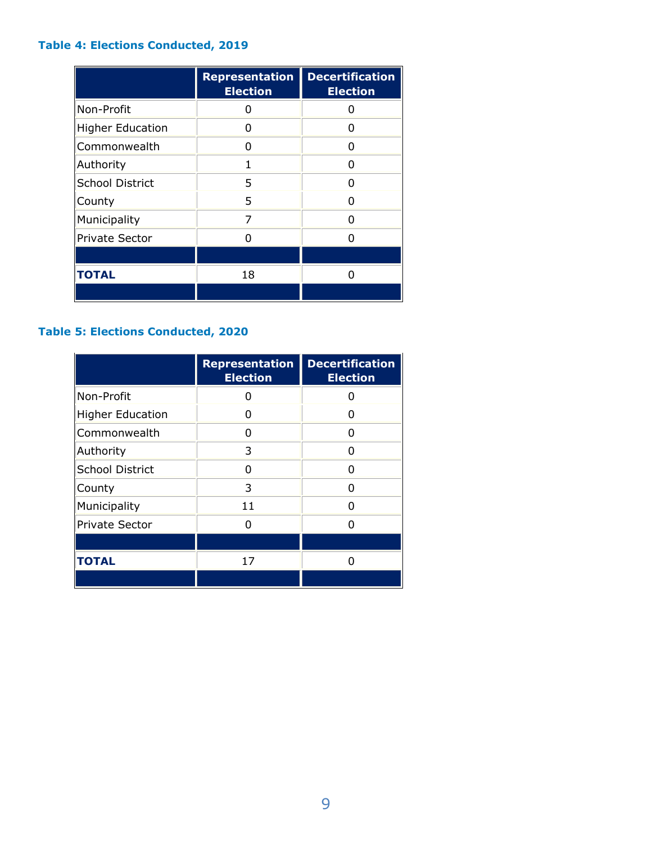## **Table 4: Elections Conducted, 2019**

|                         | <b>Representation</b><br><b>Election</b> | <b>Decertification</b><br><b>Election</b> |
|-------------------------|------------------------------------------|-------------------------------------------|
| Non-Profit              | 0                                        | U                                         |
| <b>Higher Education</b> | O                                        | O                                         |
| Commonwealth            | O                                        | n                                         |
| Authority               | 1                                        | n                                         |
| School District         | 5                                        | n                                         |
| County                  | 5                                        | ŋ                                         |
| Municipality            | 7                                        | n                                         |
| Private Sector          |                                          |                                           |
|                         |                                          |                                           |
| <b>TOTAL</b>            | 18                                       | n                                         |
|                         |                                          |                                           |

## **Table 5: Elections Conducted, 2020**

|                         | <b>Representation</b><br><b>Election</b> | <b>Decertification</b><br><b>Election</b> |
|-------------------------|------------------------------------------|-------------------------------------------|
| Non-Profit              | 0                                        |                                           |
| <b>Higher Education</b> | O                                        |                                           |
| Commonwealth            | n                                        | n                                         |
| Authority               | 3                                        | ŋ                                         |
| School District         | n                                        | n                                         |
| County                  | 3                                        | n                                         |
| Municipality            | 11                                       |                                           |
| <b>Private Sector</b>   |                                          |                                           |
|                         |                                          |                                           |
| <b>TOTAL</b>            | 17                                       |                                           |
|                         |                                          |                                           |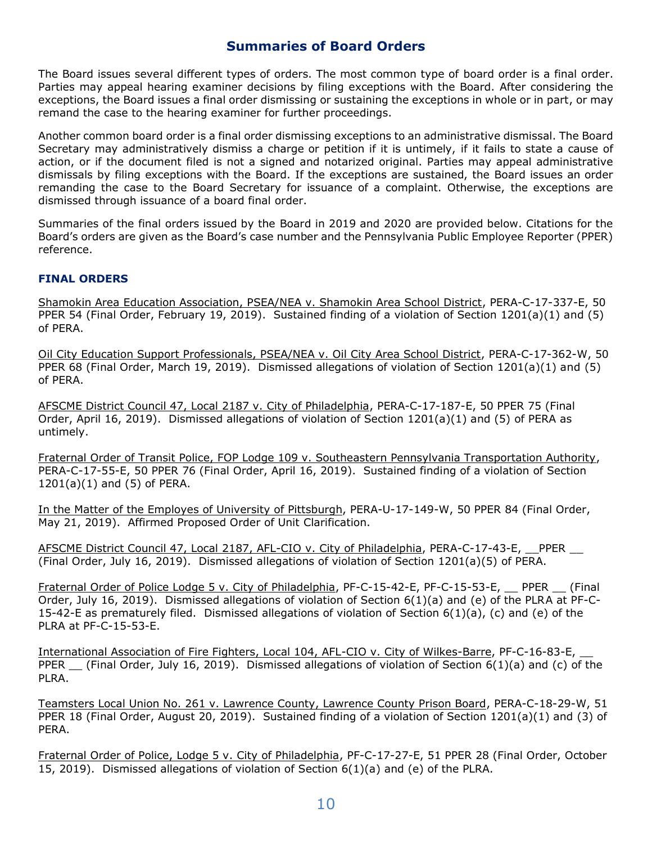### **Summaries of Board Orders**

The Board issues several different types of orders. The most common type of board order is a final order. Parties may appeal hearing examiner decisions by filing exceptions with the Board. After considering the exceptions, the Board issues a final order dismissing or sustaining the exceptions in whole or in part, or may remand the case to the hearing examiner for further proceedings.

Another common board order is a final order dismissing exceptions to an administrative dismissal. The Board Secretary may administratively dismiss a charge or petition if it is untimely, if it fails to state a cause of action, or if the document filed is not a signed and notarized original. Parties may appeal administrative dismissals by filing exceptions with the Board. If the exceptions are sustained, the Board issues an order remanding the case to the Board Secretary for issuance of a complaint. Otherwise, the exceptions are dismissed through issuance of a board final order.

Summaries of the final orders issued by the Board in 2019 and 2020 are provided below. Citations for the Board's orders are given as the Board's case number and the Pennsylvania Public Employee Reporter (PPER) reference.

#### **FINAL ORDERS**

Shamokin Area Education Association, PSEA/NEA v. Shamokin Area School District, PERA-C-17-337-E, 50 PPER 54 (Final Order, February 19, 2019). Sustained finding of a violation of Section 1201(a)(1) and (5) of PERA.

Oil City Education Support Professionals, PSEA/NEA v. Oil City Area School District, PERA-C-17-362-W, 50 PPER 68 (Final Order, March 19, 2019). Dismissed allegations of violation of Section 1201(a)(1) and (5) of PERA.

AFSCME District Council 47, Local 2187 v. City of Philadelphia, PERA-C-17-187-E, 50 PPER 75 (Final Order, April 16, 2019). Dismissed allegations of violation of Section 1201(a)(1) and (5) of PERA as untimely.

Fraternal Order of Transit Police, FOP Lodge 109 v. Southeastern Pennsylvania Transportation Authority, PERA-C-17-55-E, 50 PPER 76 (Final Order, April 16, 2019). Sustained finding of a violation of Section 1201(a)(1) and (5) of PERA.

In the Matter of the Employes of University of Pittsburgh, PERA-U-17-149-W, 50 PPER 84 (Final Order, May 21, 2019). Affirmed Proposed Order of Unit Clarification.

AFSCME District Council 47, Local 2187, AFL-CIO v. City of Philadelphia, PERA-C-17-43-E, PPER \_\_ (Final Order, July 16, 2019). Dismissed allegations of violation of Section 1201(a)(5) of PERA.

Fraternal Order of Police Lodge 5 v. City of Philadelphia, PF-C-15-42-E, PF-C-15-53-E, \_\_ PPER \_\_ (Final Order, July 16, 2019). Dismissed allegations of violation of Section 6(1)(a) and (e) of the PLRA at PF-C-15-42-E as prematurely filed. Dismissed allegations of violation of Section 6(1)(a), (c) and (e) of the PLRA at PF-C-15-53-E.

International Association of Fire Fighters, Local 104, AFL-CIO v. City of Wilkes-Barre, PF-C-16-83-E, \_\_ PPER  $\left($  Final Order, July 16, 2019). Dismissed allegations of violation of Section 6(1)(a) and (c) of the PLRA.

Teamsters Local Union No. 261 v. Lawrence County, Lawrence County Prison Board, PERA-C-18-29-W, 51 PPER 18 (Final Order, August 20, 2019). Sustained finding of a violation of Section 1201(a)(1) and (3) of PERA.

Fraternal Order of Police, Lodge 5 v. City of Philadelphia, PF-C-17-27-E, 51 PPER 28 (Final Order, October 15, 2019). Dismissed allegations of violation of Section 6(1)(a) and (e) of the PLRA.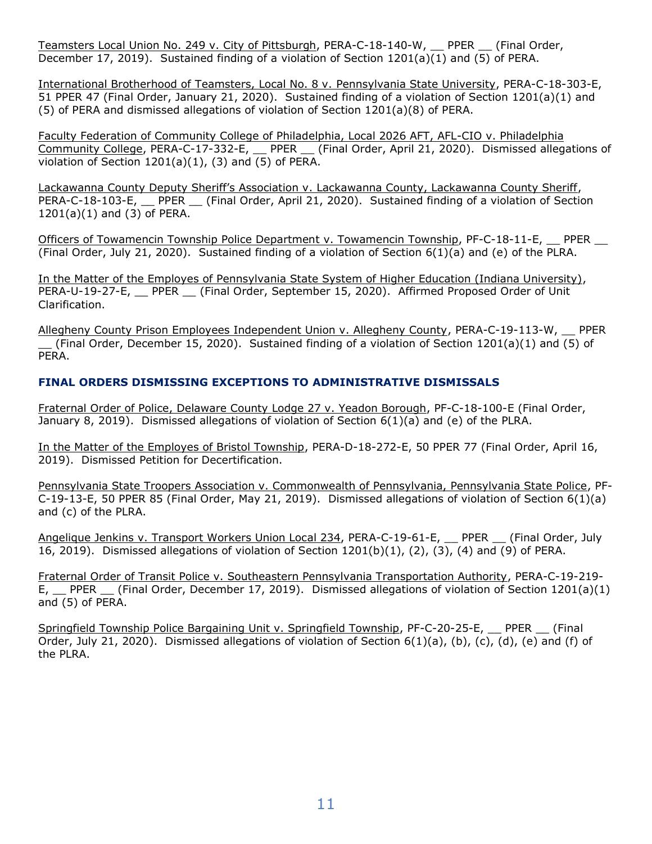Teamsters Local Union No. 249 v. City of Pittsburgh, PERA-C-18-140-W, \_\_ PPER \_\_ (Final Order, December 17, 2019). Sustained finding of a violation of Section 1201(a)(1) and (5) of PERA.

International Brotherhood of Teamsters, Local No. 8 v. Pennsylvania State University, PERA-C-18-303-E, 51 PPER 47 (Final Order, January 21, 2020). Sustained finding of a violation of Section 1201(a)(1) and (5) of PERA and dismissed allegations of violation of Section 1201(a)(8) of PERA.

Faculty Federation of Community College of Philadelphia, Local 2026 AFT, AFL-CIO v. Philadelphia Community College, PERA-C-17-332-E, \_\_ PPER \_\_ (Final Order, April 21, 2020). Dismissed allegations of violation of Section 1201(a)(1), (3) and (5) of PERA.

Lackawanna County Deputy Sheriff's Association v. Lackawanna County, Lackawanna County Sheriff, PERA-C-18-103-E, PPER (Final Order, April 21, 2020). Sustained finding of a violation of Section 1201(a)(1) and (3) of PERA.

Officers of Towamencin Township Police Department v. Towamencin Township, PF-C-18-11-E, PPER \_\_ (Final Order, July 21, 2020). Sustained finding of a violation of Section 6(1)(a) and (e) of the PLRA.

In the Matter of the Employes of Pennsylvania State System of Higher Education (Indiana University), PERA-U-19-27-E, PPER (Final Order, September 15, 2020). Affirmed Proposed Order of Unit Clarification.

Allegheny County Prison Employees Independent Union v. Allegheny County, PERA-C-19-113-W, \_\_ PPER (Final Order, December 15, 2020). Sustained finding of a violation of Section 1201(a)(1) and (5) of PERA.

### **FINAL ORDERS DISMISSING EXCEPTIONS TO ADMINISTRATIVE DISMISSALS**

Fraternal Order of Police, Delaware County Lodge 27 v. Yeadon Borough, PF-C-18-100-E (Final Order, January 8, 2019). Dismissed allegations of violation of Section 6(1)(a) and (e) of the PLRA.

In the Matter of the Employes of Bristol Township, PERA-D-18-272-E, 50 PPER 77 (Final Order, April 16, 2019). Dismissed Petition for Decertification.

Pennsylvania State Troopers Association v. Commonwealth of Pennsylvania, Pennsylvania State Police, PF-C-19-13-E, 50 PPER 85 (Final Order, May 21, 2019). Dismissed allegations of violation of Section 6(1)(a) and (c) of the PLRA.

Angelique Jenkins v. Transport Workers Union Local 234, PERA-C-19-61-E, \_\_ PPER \_\_ (Final Order, July 16, 2019). Dismissed allegations of violation of Section 1201(b)(1), (2), (3), (4) and (9) of PERA.

Fraternal Order of Transit Police v. Southeastern Pennsylvania Transportation Authority, PERA-C-19-219- E, \_\_ PPER \_\_ (Final Order, December 17, 2019). Dismissed allegations of violation of Section 1201(a)(1) and (5) of PERA.

Springfield Township Police Bargaining Unit v. Springfield Township, PF-C-20-25-E, PPER (Final Order, July 21, 2020). Dismissed allegations of violation of Section  $6(1)(a)$ , (b), (c), (d), (e) and (f) of the PLRA.